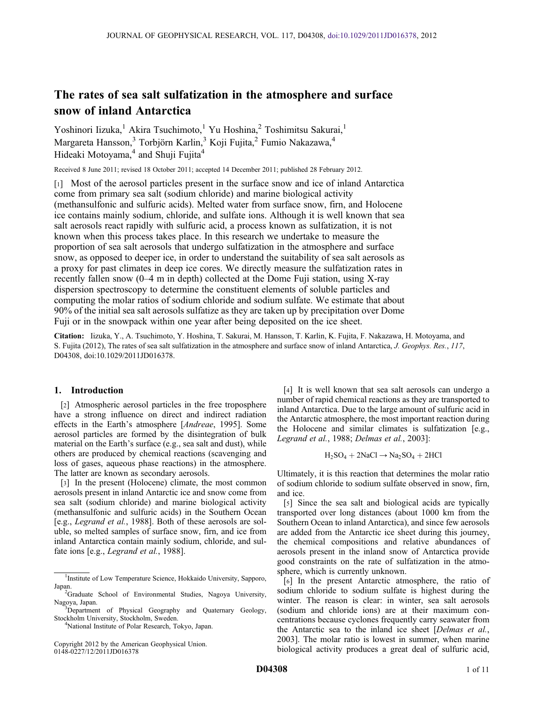# The rates of sea salt sulfatization in the atmosphere and surface snow of inland Antarctica

Yoshinori Iizuka,<sup>1</sup> Akira Tsuchimoto,<sup>1</sup> Yu Hoshina,<sup>2</sup> Toshimitsu Sakurai,<sup>1</sup> Margareta Hansson,<sup>3</sup> Torbjörn Karlin,<sup>3</sup> Koji Fujita,<sup>2</sup> Fumio Nakazawa,<sup>4</sup> Hideaki Motoyama,<sup>4</sup> and Shuji Fujita<sup>4</sup>

Received 8 June 2011; revised 18 October 2011; accepted 14 December 2011; published 28 February 2012.

[1] Most of the aerosol particles present in the surface snow and ice of inland Antarctica come from primary sea salt (sodium chloride) and marine biological activity (methansulfonic and sulfuric acids). Melted water from surface snow, firn, and Holocene ice contains mainly sodium, chloride, and sulfate ions. Although it is well known that sea salt aerosols react rapidly with sulfuric acid, a process known as sulfatization, it is not known when this process takes place. In this research we undertake to measure the proportion of sea salt aerosols that undergo sulfatization in the atmosphere and surface snow, as opposed to deeper ice, in order to understand the suitability of sea salt aerosols as a proxy for past climates in deep ice cores. We directly measure the sulfatization rates in recently fallen snow (0–4 m in depth) collected at the Dome Fuji station, using X-ray dispersion spectroscopy to determine the constituent elements of soluble particles and computing the molar ratios of sodium chloride and sodium sulfate. We estimate that about 90% of the initial sea salt aerosols sulfatize as they are taken up by precipitation over Dome Fuji or in the snowpack within one year after being deposited on the ice sheet.

Citation: Iizuka, Y., A. Tsuchimoto, Y. Hoshina, T. Sakurai, M. Hansson, T. Karlin, K. Fujita, F. Nakazawa, H. Motoyama, and S. Fujita (2012), The rates of sea salt sulfatization in the atmosphere and surface snow of inland Antarctica, J. Geophys. Res., 117, D04308, doi:10.1029/2011JD016378.

# 1. Introduction

[2] Atmospheric aerosol particles in the free troposphere have a strong influence on direct and indirect radiation effects in the Earth's atmosphere [Andreae, 1995]. Some aerosol particles are formed by the disintegration of bulk material on the Earth's surface (e.g., sea salt and dust), while others are produced by chemical reactions (scavenging and loss of gases, aqueous phase reactions) in the atmosphere. The latter are known as secondary aerosols.

[3] In the present (Holocene) climate, the most common aerosols present in inland Antarctic ice and snow come from sea salt (sodium chloride) and marine biological activity (methansulfonic and sulfuric acids) in the Southern Ocean [e.g., Legrand et al., 1988]. Both of these aerosols are soluble, so melted samples of surface snow, firn, and ice from inland Antarctica contain mainly sodium, chloride, and sulfate ions [e.g., Legrand et al., 1988].

<sup>4</sup>National Institute of Polar Research, Tokyo, Japan.

Copyright 2012 by the American Geophysical Union. 0148-0227/12/2011JD016378

[4] It is well known that sea salt aerosols can undergo a number of rapid chemical reactions as they are transported to inland Antarctica. Due to the large amount of sulfuric acid in the Antarctic atmosphere, the most important reaction during the Holocene and similar climates is sulfatization [e.g., Legrand et al., 1988; Delmas et al., 2003]:

$$
H_2SO_4 + 2NaCl \rightarrow Na_2SO_4 + 2HCl
$$

Ultimately, it is this reaction that determines the molar ratio of sodium chloride to sodium sulfate observed in snow, firn, and ice.

[5] Since the sea salt and biological acids are typically transported over long distances (about 1000 km from the Southern Ocean to inland Antarctica), and since few aerosols are added from the Antarctic ice sheet during this journey, the chemical compositions and relative abundances of aerosols present in the inland snow of Antarctica provide good constraints on the rate of sulfatization in the atmosphere, which is currently unknown.

[6] In the present Antarctic atmosphere, the ratio of sodium chloride to sodium sulfate is highest during the winter. The reason is clear: in winter, sea salt aerosols (sodium and chloride ions) are at their maximum concentrations because cyclones frequently carry seawater from the Antarctic sea to the inland ice sheet [Delmas et al., 2003]. The molar ratio is lowest in summer, when marine biological activity produces a great deal of sulfuric acid,

<sup>&</sup>lt;sup>1</sup>Institute of Low Temperature Science, Hokkaido University, Sapporo, Japan.

<sup>&</sup>lt;sup>2</sup>Graduate School of Environmental Studies, Nagoya University, Nagoya, Japan. <sup>3</sup>

<sup>&</sup>lt;sup>3</sup>Department of Physical Geography and Quaternary Geology, Stockholm University, Stockholm, Sweden. <sup>4</sup>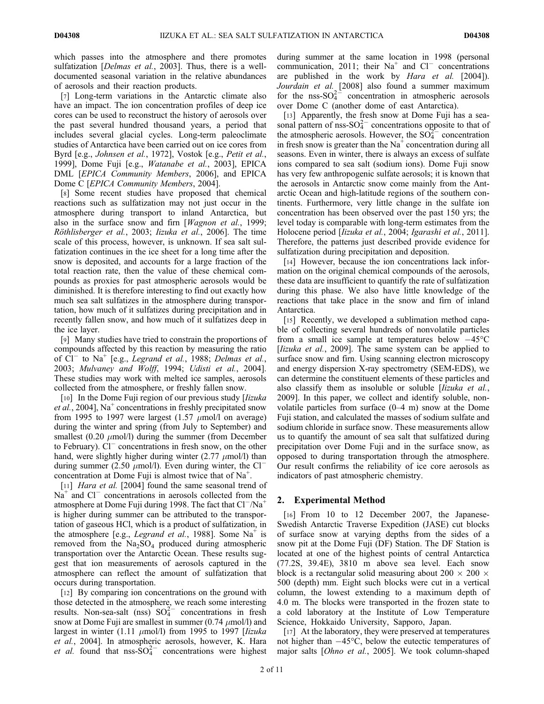which passes into the atmosphere and there promotes sulfatization [*Delmas et al.*, 2003]. Thus, there is a welldocumented seasonal variation in the relative abundances of aerosols and their reaction products.

[7] Long-term variations in the Antarctic climate also have an impact. The ion concentration profiles of deep ice cores can be used to reconstruct the history of aerosols over the past several hundred thousand years, a period that includes several glacial cycles. Long-term paleoclimate studies of Antarctica have been carried out on ice cores from Byrd [e.g., Johnsen et al., 1972], Vostok [e.g., Petit et al., 1999], Dome Fuji [e.g., Watanabe et al., 2003], EPICA DML [EPICA Community Members, 2006], and EPICA Dome C [EPICA Community Members, 2004].

[8] Some recent studies have proposed that chemical reactions such as sulfatization may not just occur in the atmosphere during transport to inland Antarctica, but also in the surface snow and firm [*Wagnon et al.*, 1999; Röthlisberger et al., 2003; Iizuka et al., 2006]. The time scale of this process, however, is unknown. If sea salt sulfatization continues in the ice sheet for a long time after the snow is deposited, and accounts for a large fraction of the total reaction rate, then the value of these chemical compounds as proxies for past atmospheric aerosols would be diminished. It is therefore interesting to find out exactly how much sea salt sulfatizes in the atmosphere during transportation, how much of it sulfatizes during precipitation and in recently fallen snow, and how much of it sulfatizes deep in the ice layer.

[9] Many studies have tried to constrain the proportions of compounds affected by this reaction by measuring the ratio of  $\dot{Cl}^-$  to Na<sup>+</sup> [e.g., *Legrand et al.*, 1988; *Delmas et al.*, 2003; Mulvaney and Wolff, 1994; Udisti et al., 2004]. These studies may work with melted ice samples, aerosols collected from the atmosphere, or freshly fallen snow.

[10] In the Dome Fuji region of our previous study [*lizuka*] *et al.*, 2004],  $Na<sup>+</sup>$  concentrations in freshly precipitated snow from 1995 to 1997 were largest  $(1.57 \mu mol/l)$  on average) during the winter and spring (from July to September) and smallest (0.20  $\mu$ mol/l) during the summer (from December to February). Cl<sup>-</sup> concentrations in fresh snow, on the other hand, were slightly higher during winter  $(2.77 \mu m o l/l)$  than during summer (2.50  $\mu$ mol/l). Even during winter, the Cl<sup>-</sup> concentration at Dome Fuji is almost twice that of Na<sup>+</sup>.

[11] *Hara et al.* [2004] found the same seasonal trend of  $Na<sup>+</sup>$  and  $Cl<sup>-</sup>$  concentrations in aerosols collected from the atmosphere at Dome Fuji during 1998. The fact that  $Cl^{-}/Na^{+}$ is higher during summer can be attributed to the transportation of gaseous HCl, which is a product of sulfatization, in the atmosphere [e.g., *Legrand et al.*, 1988]. Some  $Na<sup>+</sup>$  is removed from the  $Na<sub>2</sub>SO<sub>4</sub>$  produced during atmospheric transportation over the Antarctic Ocean. These results suggest that ion measurements of aerosols captured in the atmosphere can reflect the amount of sulfatization that occurs during transportation.

[12] By comparing ion concentrations on the ground with those detected in the atmosphere, we reach some interesting results. Non-sea-salt (nss)  $SO_4^{2-}$  concentrations in fresh snow at Dome Fuji are smallest in summer  $(0.74 \mu mol/l)$  and largest in winter (1.11  $\mu$ mol/l) from 1995 to 1997 [Iizuka et al., 2004]. In atmospheric aerosols, however, K. Hara et al. found that  $nss-SO_4^{2-}$  concentrations were highest

during summer at the same location in 1998 (personal communication, 2011; their Na<sup>+</sup> and Cl<sup>-</sup> concentrations are published in the work by *Hara et al.* [2004]). Jourdain et al. [2008] also found a summer maximum for the nss- $SO_4^{2-}$  concentration in atmospheric aerosols over Dome C (another dome of east Antarctica).

[13] Apparently, the fresh snow at Dome Fuji has a seasonal pattern of  $nss-SO_4^{2-}$  concentrations opposite to that of the atmospheric aerosols. However, the  $SO_4^{2+}$  concentration in fresh snow is greater than the  $Na<sup>+</sup>$  concentration during all seasons. Even in winter, there is always an excess of sulfate ions compared to sea salt (sodium ions). Dome Fuji snow has very few anthropogenic sulfate aerosols; it is known that the aerosols in Antarctic snow come mainly from the Antarctic Ocean and high-latitude regions of the southern continents. Furthermore, very little change in the sulfate ion concentration has been observed over the past 150 yrs; the level today is comparable with long-term estimates from the Holocene period [Iizuka et al., 2004; Igarashi et al., 2011]. Therefore, the patterns just described provide evidence for sulfatization during precipitation and deposition.

[14] However, because the ion concentrations lack information on the original chemical compounds of the aerosols, these data are insufficient to quantify the rate of sulfatization during this phase. We also have little knowledge of the reactions that take place in the snow and firn of inland Antarctica.

[15] Recently, we developed a sublimation method capable of collecting several hundreds of nonvolatile particles from a small ice sample at temperatures below  $-45^{\circ}$ C [*Iizuka et al.*, 2009]. The same system can be applied to surface snow and firn. Using scanning electron microscopy and energy dispersion X-ray spectrometry (SEM-EDS), we can determine the constituent elements of these particles and also classify them as insoluble or soluble [*Iizuka et al.*, 2009]. In this paper, we collect and identify soluble, nonvolatile particles from surface (0–4 m) snow at the Dome Fuji station, and calculated the masses of sodium sulfate and sodium chloride in surface snow. These measurements allow us to quantify the amount of sea salt that sulfatized during precipitation over Dome Fuji and in the surface snow, as opposed to during transportation through the atmosphere. Our result confirms the reliability of ice core aerosols as indicators of past atmospheric chemistry.

## 2. Experimental Method

[16] From 10 to 12 December 2007, the Japanese-Swedish Antarctic Traverse Expedition (JASE) cut blocks of surface snow at varying depths from the sides of a snow pit at the Dome Fuji (DF) Station. The DF Station is located at one of the highest points of central Antarctica (77.2S, 39.4E), 3810 m above sea level. Each snow block is a rectangular solid measuring about 200  $\times$  200  $\times$ 500 (depth) mm. Eight such blocks were cut in a vertical column, the lowest extending to a maximum depth of 4.0 m. The blocks were transported in the frozen state to a cold laboratory at the Institute of Low Temperature Science, Hokkaido University, Sapporo, Japan.

[17] At the laboratory, they were preserved at temperatures not higher than  $-45^{\circ}$ C, below the eutectic temperatures of major salts [Ohno et al., 2005]. We took column-shaped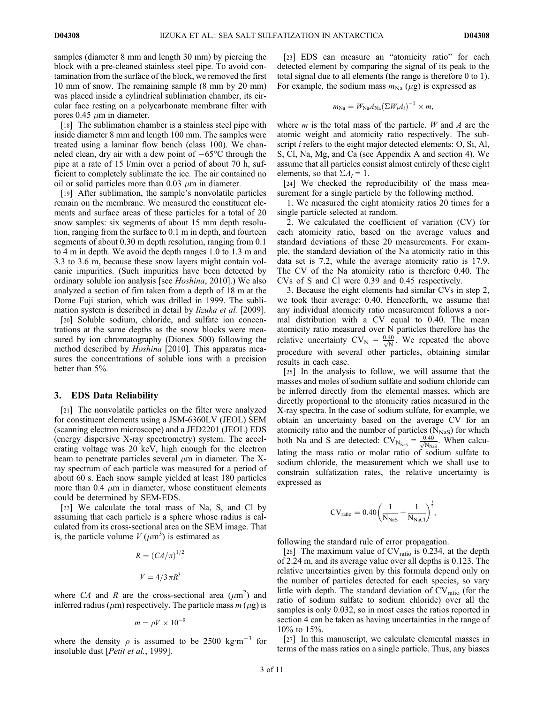samples (diameter 8 mm and length 30 mm) by piercing the block with a pre-cleaned stainless steel pipe. To avoid contamination from the surface of the block, we removed the first 10 mm of snow. The remaining sample (8 mm by 20 mm) was placed inside a cylindrical sublimation chamber, its circular face resting on a polycarbonate membrane filter with pores 0.45  $\mu$ m in diameter.

[18] The sublimation chamber is a stainless steel pipe with inside diameter 8 mm and length 100 mm. The samples were treated using a laminar flow bench (class 100). We channeled clean, dry air with a dew point of  $-65^{\circ}$ C through the pipe at a rate of 15 l/min over a period of about 70 h, sufficient to completely sublimate the ice. The air contained no oil or solid particles more than 0.03  $\mu$ m in diameter.

[19] After sublimation, the sample's nonvolatile particles remain on the membrane. We measured the constituent elements and surface areas of these particles for a total of 20 snow samples: six segments of about 15 mm depth resolution, ranging from the surface to 0.1 m in depth, and fourteen segments of about 0.30 m depth resolution, ranging from 0.1 to 4 m in depth. We avoid the depth ranges 1.0 to 1.3 m and 3.3 to 3.6 m, because these snow layers might contain volcanic impurities. (Such impurities have been detected by ordinary soluble ion analysis [see Hoshina, 2010].) We also analyzed a section of firn taken from a depth of 18 m at the Dome Fuji station, which was drilled in 1999. The sublimation system is described in detail by *Iizuka et al.* [2009].

[20] Soluble sodium, chloride, and sulfate ion concentrations at the same depths as the snow blocks were measured by ion chromatography (Dionex 500) following the method described by Hoshina [2010]. This apparatus measures the concentrations of soluble ions with a precision better than 5%.

### 3. EDS Data Reliability

[21] The nonvolatile particles on the filter were analyzed for constituent elements using a JSM-6360LV (JEOL) SEM (scanning electron microscope) and a JED2201 (JEOL) EDS (energy dispersive X-ray spectrometry) system. The accelerating voltage was 20 keV, high enough for the electron beam to penetrate particles several  $\mu$ m in diameter. The Xray spectrum of each particle was measured for a period of about 60 s. Each snow sample yielded at least 180 particles more than 0.4  $\mu$ m in diameter, whose constituent elements could be determined by SEM-EDS.

[22] We calculate the total mass of Na, S, and Cl by assuming that each particle is a sphere whose radius is calculated from its cross-sectional area on the SEM image. That is, the particle volume  $V(\mu m^3)$  is estimated as

$$
R = (CA/\pi)^{1/2}
$$

$$
V = 4/3 \pi R^3
$$

where CA and R are the cross-sectional area  $(\mu m^2)$  and inferred radius ( $\mu$ m) respectively. The particle mass m ( $\mu$ g) is

$$
m = \rho V \times 10^{-9}
$$

where the density  $\rho$  is assumed to be 2500 kg⋅m<sup>-3</sup> for insoluble dust [Petit et al., 1999].

[23] EDS can measure an "atomicity ratio" for each detected element by comparing the signal of its peak to the total signal due to all elements (the range is therefore 0 to 1). For example, the sodium mass  $m_{\text{Na}}$  ( $\mu$ g) is expressed as

$$
m_{\text{Na}} = W_{\text{Na}} A_{\text{Na}} (\Sigma W_i A_i)^{-1} \times m,
$$

where  $m$  is the total mass of the particle.  $W$  and  $A$  are the atomic weight and atomicity ratio respectively. The subscript *i* refers to the eight major detected elements: O, Si, Al, S, Cl, Na, Mg, and Ca (see Appendix A and section 4). We assume that all particles consist almost entirely of these eight elements, so that  $\Sigma A_i = 1$ .

[24] We checked the reproducibility of the mass measurement for a single particle by the following method.

1. We measured the eight atomicity ratios 20 times for a single particle selected at random.

2. We calculated the coefficient of variation (CV) for each atomicity ratio, based on the average values and standard deviations of these 20 measurements. For example, the standard deviation of the Na atomicity ratio in this data set is 7.2, while the average atomicity ratio is 17.9. The CV of the Na atomicity ratio is therefore 0.40. The CVs of S and Cl were 0.39 and 0.45 respectively.

3. Because the eight elements had similar CVs in step 2, we took their average: 0.40. Henceforth, we assume that any individual atomicity ratio measurement follows a normal distribution with a CV equal to 0.40. The mean atomicity ratio measured over N particles therefore has the relative uncertainty  $CV_N = \frac{0.40}{\sqrt{N}}$ . We repeated the above procedure with several other particles, obtaining similar results in each case.

[25] In the analysis to follow, we will assume that the masses and moles of sodium sulfate and sodium chloride can be inferred directly from the elemental masses, which are directly proportional to the atomicity ratios measured in the X-ray spectra. In the case of sodium sulfate, for example, we obtain an uncertainty based on the average CV for an atomicity ratio and the number of particles  $(N_{\text{NaS}})$  for which both Na and S are detected:  $CV_{N_{Nas}} = \frac{0.40}{\sqrt{N_{Nas}}}$ . When calculating the mass ratio or molar ratio of sodium sulfate to sodium chloride, the measurement which we shall use to constrain sulfatization rates, the relative uncertainty is expressed as

$$
CV_{ratio}=0.40\bigg(\frac{1}{N_{NaS}}+\frac{1}{N_{NaCl}}\bigg)^{\frac{1}{2}},
$$

following the standard rule of error propagation.

[26] The maximum value of  $CV<sub>ratio</sub>$  is 0.234, at the depth of 2.24 m, and its average value over all depths is 0.123. The relative uncertainties given by this formula depend only on the number of particles detected for each species, so vary little with depth. The standard deviation of  $CV<sub>ratio</sub>$  (for the ratio of sodium sulfate to sodium chloride) over all the samples is only 0.032, so in most cases the ratios reported in section 4 can be taken as having uncertainties in the range of 10% to 15%.

[27] In this manuscript, we calculate elemental masses in terms of the mass ratios on a single particle. Thus, any biases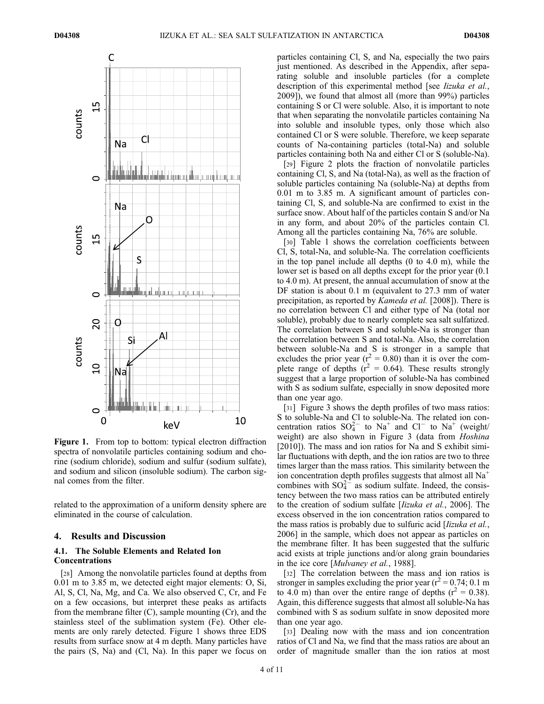

Figure 1. From top to bottom: typical electron diffraction spectra of nonvolatile particles containing sodium and chorine (sodium chloride), sodium and sulfur (sodium sulfate), and sodium and silicon (insoluble sodium). The carbon signal comes from the filter.

related to the approximation of a uniform density sphere are eliminated in the course of calculation.

### 4. Results and Discussion

## 4.1. The Soluble Elements and Related Ion Concentrations

[28] Among the nonvolatile particles found at depths from 0.01 m to 3.85 m, we detected eight major elements: O, Si, Al, S, Cl, Na, Mg, and Ca. We also observed C, Cr, and Fe on a few occasions, but interpret these peaks as artifacts from the membrane filter  $(C)$ , sample mounting  $(Cr)$ , and the stainless steel of the sublimation system (Fe). Other elements are only rarely detected. Figure 1 shows three EDS results from surface snow at 4 m depth. Many particles have the pairs (S, Na) and (Cl, Na). In this paper we focus on

particles containing Cl, S, and Na, especially the two pairs just mentioned. As described in the Appendix, after separating soluble and insoluble particles (for a complete description of this experimental method [see *Iizuka et al.*, 2009]), we found that almost all (more than 99%) particles containing S or Cl were soluble. Also, it is important to note that when separating the nonvolatile particles containing Na into soluble and insoluble types, only those which also contained Cl or S were soluble. Therefore, we keep separate counts of Na-containing particles (total-Na) and soluble particles containing both Na and either Cl or S (soluble-Na).

[29] Figure 2 plots the fraction of nonvolatile particles containing Cl, S, and Na (total-Na), as well as the fraction of soluble particles containing Na (soluble-Na) at depths from 0.01 m to 3.85 m. A significant amount of particles containing Cl, S, and soluble-Na are confirmed to exist in the surface snow. About half of the particles contain S and/or Na in any form, and about 20% of the particles contain Cl. Among all the particles containing Na, 76% are soluble.

[30] Table 1 shows the correlation coefficients between Cl, S, total-Na, and soluble-Na. The correlation coefficients in the top panel include all depths (0 to 4.0 m), while the lower set is based on all depths except for the prior year (0.1 to 4.0 m). At present, the annual accumulation of snow at the DF station is about 0.1 m (equivalent to 27.3 mm of water precipitation, as reported by Kameda et al. [2008]). There is no correlation between Cl and either type of Na (total nor soluble), probably due to nearly complete sea salt sulfatized. The correlation between S and soluble-Na is stronger than the correlation between S and total-Na. Also, the correlation between soluble-Na and S is stronger in a sample that excludes the prior year ( $r^2 = 0.80$ ) than it is over the complete range of depths  $(r^2 = 0.64)$ . These results strongly suggest that a large proportion of soluble-Na has combined with S as sodium sulfate, especially in snow deposited more than one year ago.

[31] Figure 3 shows the depth profiles of two mass ratios: S to soluble-Na and Cl to soluble-Na. The related ion concentration ratios  $SO_4^{2-}$  to  $Na^+$  and  $Cl^-$  to  $Na^+$  (weight/ weight) are also shown in Figure 3 (data from *Hoshina* [2010]). The mass and ion ratios for Na and S exhibit similar fluctuations with depth, and the ion ratios are two to three times larger than the mass ratios. This similarity between the ion concentration depth profiles suggests that almost all  $Na<sup>+</sup>$ combines with  $SO_4^{2-}$  as sodium sulfate. Indeed, the consistency between the two mass ratios can be attributed entirely to the creation of sodium sulfate [Iizuka et al., 2006]. The excess observed in the ion concentration ratios compared to the mass ratios is probably due to sulfuric acid [Iizuka et al., 2006] in the sample, which does not appear as particles on the membrane filter. It has been suggested that the sulfuric acid exists at triple junctions and/or along grain boundaries in the ice core [Mulvaney et al., 1988].

[32] The correlation between the mass and ion ratios is stronger in samples excluding the prior year ( $r^2$  = 0.74; 0.1 m to 4.0 m) than over the entire range of depths ( $r^2 = 0.38$ ). Again, this difference suggests that almost all soluble-Na has combined with S as sodium sulfate in snow deposited more than one year ago.

[33] Dealing now with the mass and ion concentration ratios of Cl and Na, we find that the mass ratios are about an order of magnitude smaller than the ion ratios at most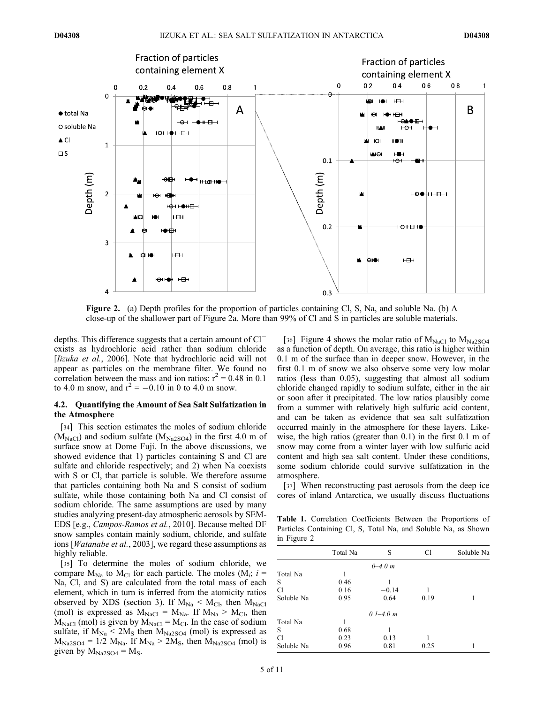

Figure 2. (a) Depth profiles for the proportion of particles containing Cl, S, Na, and soluble Na. (b) A close-up of the shallower part of Figure 2a. More than 99% of Cl and S in particles are soluble materials.

depths. This difference suggests that a certain amount of  $Cl^$ exists as hydrochloric acid rather than sodium chloride [Iizuka et al., 2006]. Note that hydrochloric acid will not appear as particles on the membrane filter. We found no correlation between the mass and ion ratios:  $r^2 = 0.48$  in 0.1 to 4.0 m snow, and  $r^2 = -0.10$  in 0 to 4.0 m snow.

# 4.2. Quantifying the Amount of Sea Salt Sulfatization in the Atmosphere

[34] This section estimates the moles of sodium chloride  $(M<sub>NaCl</sub>)$  and sodium sulfate  $(M<sub>Na2SO4</sub>)$  in the first 4.0 m of surface snow at Dome Fuji. In the above discussions, we showed evidence that 1) particles containing S and Cl are sulfate and chloride respectively; and 2) when Na coexists with S or Cl, that particle is soluble. We therefore assume that particles containing both Na and S consist of sodium sulfate, while those containing both Na and Cl consist of sodium chloride. The same assumptions are used by many studies analyzing present-day atmospheric aerosols by SEM-EDS [e.g., Campos-Ramos et al., 2010]. Because melted DF snow samples contain mainly sodium, chloride, and sulfate ions [Watanabe et al., 2003], we regard these assumptions as highly reliable.

[35] To determine the moles of sodium chloride, we compare  $M_{\text{Na}}$  to  $M_{\text{Cl}}$  for each particle. The moles ( $M_i$ ; i = Na, Cl, and S) are calculated from the total mass of each element, which in turn is inferred from the atomicity ratios observed by XDS (section 3). If  $M_{Na} < M_{Cl}$ , then  $M_{NaCl}$ (mol) is expressed as  $M_{NaCl} = M_{Na}$ . If  $M_{Na} > M_{Cl}$ , then  $M<sub>NaCl</sub>$  (mol) is given by  $M<sub>NaCl</sub> = M<sub>Cl</sub>$ . In the case of sodium sulfate, if  $M_{Na}$  < 2 $M_{S}$  then  $M_{Na2SO4}$  (mol) is expressed as  $M_{Na2SO4} = 1/2$   $M_{Na}$ . If  $M_{Na} > 2M_{S}$ , then  $M_{Na2SO4}$  (mol) is given by  $M_{Na2SO4} = M_S$ .

[36] Figure 4 shows the molar ratio of  $M_{\text{NaCl}}$  to  $M_{\text{Na2SO4}}$ as a function of depth. On average, this ratio is higher within 0.1 m of the surface than in deeper snow. However, in the first 0.1 m of snow we also observe some very low molar ratios (less than 0.05), suggesting that almost all sodium chloride changed rapidly to sodium sulfate, either in the air or soon after it precipitated. The low ratios plausibly come from a summer with relatively high sulfuric acid content, and can be taken as evidence that sea salt sulfatization occurred mainly in the atmosphere for these layers. Likewise, the high ratios (greater than 0.1) in the first 0.1 m of snow may come from a winter layer with low sulfuric acid content and high sea salt content. Under these conditions, some sodium chloride could survive sulfatization in the atmosphere.

[37] When reconstructing past aerosols from the deep ice cores of inland Antarctica, we usually discuss fluctuations

Table 1. Correlation Coefficients Between the Proportions of Particles Containing Cl, S, Total Na, and Soluble Na, as Shown in Figure 2

|            | Total Na | S             | C1   | Soluble Na |
|------------|----------|---------------|------|------------|
|            |          | $0 - 4.0 m$   |      |            |
| Total Na   |          |               |      |            |
| S          | 0.46     |               |      |            |
| C1         | 0.16     | $-0.14$       |      |            |
| Soluble Na | 0.95     | 0.64          | 0.19 |            |
|            |          | $0.1 - 4.0 m$ |      |            |
| Total Na   |          |               |      |            |
| S          | 0.68     |               |      |            |
| C1         | 0.23     | 0.13          |      |            |
| Soluble Na | 0.96     | 0.81          | 0.25 |            |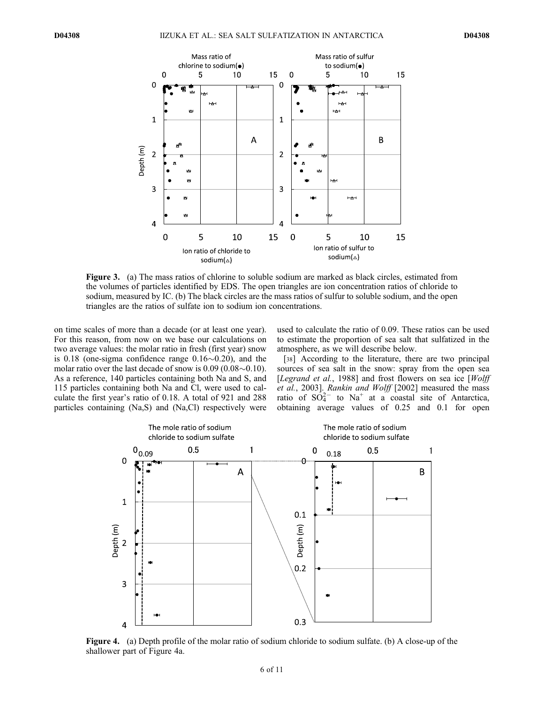

Figure 3. (a) The mass ratios of chlorine to soluble sodium are marked as black circles, estimated from the volumes of particles identified by EDS. The open triangles are ion concentration ratios of chloride to sodium, measured by IC. (b) The black circles are the mass ratios of sulfur to soluble sodium, and the open triangles are the ratios of sulfate ion to sodium ion concentrations.

on time scales of more than a decade (or at least one year). For this reason, from now on we base our calculations on two average values: the molar ratio in fresh (first year) snow is 0.18 (one-sigma confidence range  $0.16\sim0.20$ ), and the molar ratio over the last decade of snow is  $0.09$  ( $0.08 \sim 0.10$ ). As a reference, 140 particles containing both Na and S, and 115 particles containing both Na and Cl, were used to calculate the first year's ratio of 0.18. A total of 921 and 288 particles containing (Na,S) and (Na,Cl) respectively were

used to calculate the ratio of 0.09. These ratios can be used to estimate the proportion of sea salt that sulfatized in the atmosphere, as we will describe below.

[38] According to the literature, there are two principal sources of sea salt in the snow: spray from the open sea [Legrand et al., 1988] and frost flowers on sea ice  $[Wolff]$ et al., 2003]. Rankin and Wolff [2002] measured the mass ratio of  $SO_4^{2-}$  to Na<sup>+</sup> at a coastal site of Antarctica, obtaining average values of 0.25 and 0.1 for open



Figure 4. (a) Depth profile of the molar ratio of sodium chloride to sodium sulfate. (b) A close-up of the shallower part of Figure 4a.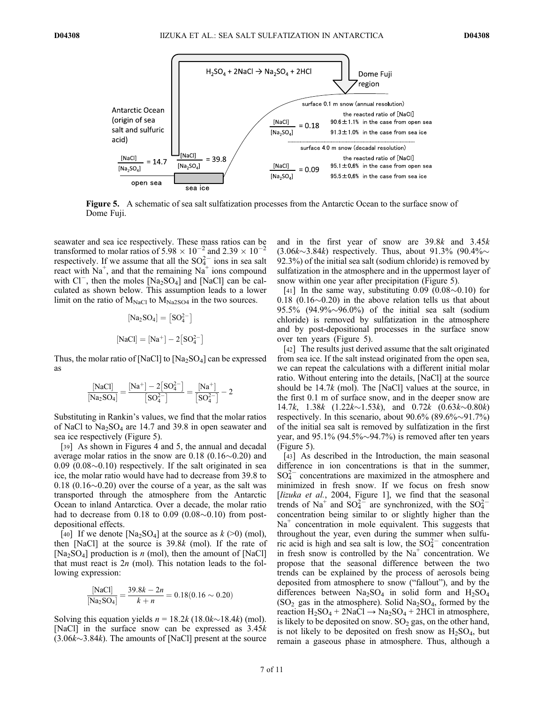

Figure 5. A schematic of sea salt sulfatization processes from the Antarctic Ocean to the surface snow of Dome Fuji.

seawater and sea ice respectively. These mass ratios can be transformed to molar ratios of  $5.98 \times 10^{-2}$  and  $2.39 \times 10^{-2}$ respectively. If we assume that all the  $SO_4^{2-}$  ions in sea salt react with  $Na^+$ , and that the remaining  $Na^+$  ions compound with  $Cl^-$ , then the moles  $[Na_2SO_4]$  and  $[NaCl]$  can be calculated as shown below. This assumption leads to a lower limit on the ratio of  $M_{NaCl}$  to  $M_{Na2SO4}$  in the two sources.

$$
[\text{Na}_2\text{SO}_4] = [\text{SO}_4^{2-}]
$$
  

$$
[\text{NaCl}] = [\text{Na}^+] - 2[\text{SO}_4^{2-}]
$$

Thus, the molar ratio of [NaCl] to  $[Na_2SO_4]$  can be expressed as

$$
\frac{[\text{NaCl}]}{[\text{Na}_2\text{SO}_4]} \!=\! \frac{[\text{Na}^+]-2\big[\text{SO}_4^{2-}\big]}{\big[\text{SO}_4^{2-}\big]} \!=\! \frac{[\text{Na}^+]}{\big[\text{SO}_4^{2-}\big]} -2
$$

Substituting in Rankin's values, we find that the molar ratios of NaCl to  $Na<sub>2</sub>SO<sub>4</sub>$  are 14.7 and 39.8 in open seawater and sea ice respectively (Figure 5).

[39] As shown in Figures 4 and 5, the annual and decadal average molar ratios in the snow are 0.18 (0.16 $\sim$ 0.20) and  $0.09$   $(0.08 \sim 0.10)$  respectively. If the salt originated in sea ice, the molar ratio would have had to decrease from 39.8 to  $0.18$  ( $0.16 \sim 0.20$ ) over the course of a year, as the salt was transported through the atmosphere from the Antarctic Ocean to inland Antarctica. Over a decade, the molar ratio had to decrease from  $0.18$  to  $0.09$   $(0.08 \sim 0.10)$  from postdepositional effects.

[40] If we denote [Na<sub>2</sub>SO<sub>4</sub>] at the source as  $k$  (>0) (mol), then [NaCl] at the source is 39.8k (mol). If the rate of [Na<sub>2</sub>SO<sub>4</sub>] production is *n* (mol), then the amount of [NaCl] that must react is  $2n$  (mol). This notation leads to the following expression:

$$
\frac{[\text{NaCl}]}{[\text{Na}_2\text{SO}_4]} = \frac{39.8k - 2n}{k + n} = 0.18(0.16 \sim 0.20)
$$

Solving this equation yields  $n = 18.2k (18.0k<sub>1</sub>8.4k)$  (mol). [NaCl] in the surface snow can be expressed as  $3.45k$  $(3.06k<sub>3.84k</sub>)$ . The amounts of [NaCl] present at the source and in the first year of snow are 39.8k and 3.45k  $(3.06k<sub>3.84k</sub>)$  respectively. Thus, about 91.3% (90.4% $\sim$ 92.3%) of the initial sea salt (sodium chloride) is removed by sulfatization in the atmosphere and in the uppermost layer of snow within one year after precipitation (Figure 5).

[41] In the same way, substituting  $0.09$  ( $0.08 \sim 0.10$ ) for  $0.18$  (0.16 $\sim$ 0.20) in the above relation tells us that about 95.5% (94.9% $\sim$ 96.0%) of the initial sea salt (sodium chloride) is removed by sulfatization in the atmosphere and by post-depositional processes in the surface snow over ten years (Figure 5).

[42] The results just derived assume that the salt originated from sea ice. If the salt instead originated from the open sea, we can repeat the calculations with a different initial molar ratio. Without entering into the details, [NaCl] at the source should be  $14.7k$  (mol). The [NaCl] values at the source, in the first 0.1 m of surface snow, and in the deeper snow are 14.7k, 1.38k  $(1.22k<sub>0</sub>1.53k)$ , and  $0.72k$   $(0.63k<sub>0</sub>0.80k)$ respectively. In this scenario, about  $90.6\%$   $(89.6\% \sim 91.7\%)$ of the initial sea salt is removed by sulfatization in the first year, and  $95.1\%$  (94.5% $\sim$ 94.7%) is removed after ten years (Figure 5).

[43] As described in the Introduction, the main seasonal difference in ion concentrations is that in the summer,  $SO_4^{2-}$  concentrations are maximized in the atmosphere and minimized in fresh snow. If we focus on fresh snow [Iizuka et al., 2004, Figure 1], we find that the seasonal trends of Na<sup>+</sup> and  $SO_4^{2-}$  are synchronized, with the  $SO_4^{2-}$ concentration being similar to or slightly higher than the  $Na<sup>+</sup>$  concentration in mole equivalent. This suggests that throughout the year, even during the summer when sulfuric acid is high and sea salt is low, the  $SO_4^{2-}$  concentration in fresh snow is controlled by the  $Na<sup>+</sup>$  concentration. We propose that the seasonal difference between the two trends can be explained by the process of aerosols being deposited from atmosphere to snow ("fallout"), and by the differences between  $Na<sub>2</sub>SO<sub>4</sub>$  in solid form and  $H<sub>2</sub>SO<sub>4</sub>$  $(SO<sub>2</sub>$  gas in the atmosphere). Solid Na<sub>2</sub>SO<sub>4</sub>, formed by the reaction  $H_2SO_4 + 2NaCl \rightarrow Na_2SO_4 + 2HCl$  in atmosphere, is likely to be deposited on snow.  $SO<sub>2</sub>$  gas, on the other hand, is not likely to be deposited on fresh snow as  $H_2SO_4$ , but remain a gaseous phase in atmosphere. Thus, although a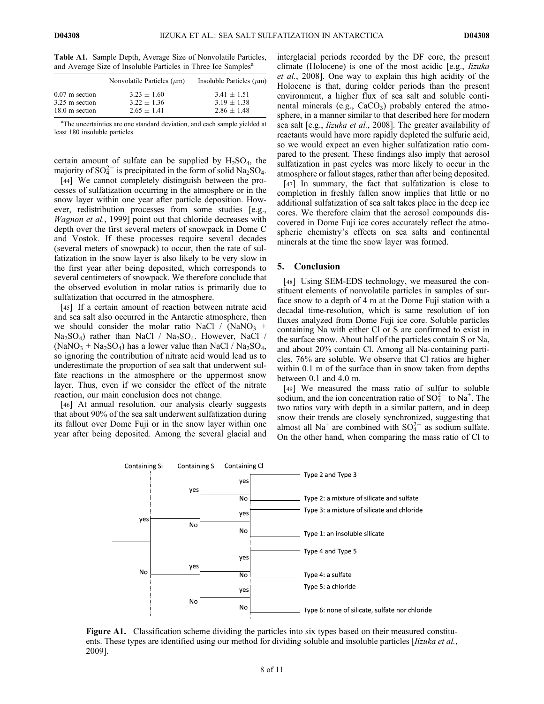Table A1. Sample Depth, Average Size of Nonvolatile Particles, and Average Size of Insoluble Particles in Three Ice Samples<sup>a</sup>

|                  | Nonvolatile Particles $(\mu m)$ | Insoluble Particles $(\mu m)$ |
|------------------|---------------------------------|-------------------------------|
| $0.07$ m section | $3.23 + 1.60$                   | $3.41 + 1.51$                 |
| 3.25 m section   | $3.22 + 1.36$                   | $3.19 \pm 1.38$               |
| 18.0 m section   | $2.65 + 1.41$                   | $2.86 + 1.48$                 |

<sup>a</sup>The uncertainties are one standard deviation, and each sample yielded at least 180 insoluble particles.

certain amount of sulfate can be supplied by  $H_2SO_4$ , the majority of  $SO_4^{2-}$  is precipitated in the form of solid  $Na_2SO_4$ .

[44] We cannot completely distinguish between the processes of sulfatization occurring in the atmosphere or in the snow layer within one year after particle deposition. However, redistribution processes from some studies [e.g., Wagnon et al., 1999] point out that chloride decreases with depth over the first several meters of snowpack in Dome C and Vostok. If these processes require several decades (several meters of snowpack) to occur, then the rate of sulfatization in the snow layer is also likely to be very slow in the first year after being deposited, which corresponds to several centimeters of snowpack. We therefore conclude that the observed evolution in molar ratios is primarily due to sulfatization that occurred in the atmosphere.

[45] If a certain amount of reaction between nitrate acid and sea salt also occurred in the Antarctic atmosphere, then we should consider the molar ratio NaCl / (NaNO<sub>3</sub> +  $Na<sub>2</sub>SO<sub>4</sub>$ ) rather than NaCl / Na<sub>2</sub>SO<sub>4</sub>. However, NaCl /  $(NaNO<sub>3</sub> + Na<sub>2</sub>SO<sub>4</sub>)$  has a lower value than NaCl / Na<sub>2</sub>SO<sub>4</sub>, so ignoring the contribution of nitrate acid would lead us to underestimate the proportion of sea salt that underwent sulfate reactions in the atmosphere or the uppermost snow layer. Thus, even if we consider the effect of the nitrate reaction, our main conclusion does not change.

[46] At annual resolution, our analysis clearly suggests that about 90% of the sea salt underwent sulfatization during its fallout over Dome Fuji or in the snow layer within one year after being deposited. Among the several glacial and interglacial periods recorded by the DF core, the present climate (Holocene) is one of the most acidic [e.g., Iizuka et al., 2008]. One way to explain this high acidity of the Holocene is that, during colder periods than the present environment, a higher flux of sea salt and soluble continental minerals (e.g.,  $CaCO<sub>3</sub>$ ) probably entered the atmosphere, in a manner similar to that described here for modern sea salt [e.g., Iizuka et al., 2008]. The greater availability of reactants would have more rapidly depleted the sulfuric acid, so we would expect an even higher sulfatization ratio compared to the present. These findings also imply that aerosol sulfatization in past cycles was more likely to occur in the atmosphere or fallout stages, rather than after being deposited.

[47] In summary, the fact that sulfatization is close to completion in freshly fallen snow implies that little or no additional sulfatization of sea salt takes place in the deep ice cores. We therefore claim that the aerosol compounds discovered in Dome Fuji ice cores accurately reflect the atmospheric chemistry's effects on sea salts and continental minerals at the time the snow layer was formed.

#### 5. Conclusion

[48] Using SEM-EDS technology, we measured the constituent elements of nonvolatile particles in samples of surface snow to a depth of 4 m at the Dome Fuji station with a decadal time-resolution, which is same resolution of ion fluxes analyzed from Dome Fuji ice core. Soluble particles containing Na with either Cl or S are confirmed to exist in the surface snow. About half of the particles contain S or Na, and about 20% contain Cl. Among all Na-containing particles, 76% are soluble. We observe that Cl ratios are higher within 0.1 m of the surface than in snow taken from depths between 0.1 and 4.0 m.

[49] We measured the mass ratio of sulfur to soluble sodium, and the ion concentration ratio of  $SO_4^{2-}$  to  $Na^+$ . The two ratios vary with depth in a similar pattern, and in deep snow their trends are closely synchronized, suggesting that almost all Na<sup>+</sup> are combined with  $SO_4^{2-}$  as sodium sulfate. On the other hand, when comparing the mass ratio of Cl to



Figure A1. Classification scheme dividing the particles into six types based on their measured constituents. These types are identified using our method for dividing soluble and insoluble particles [Iizuka et al., 2009].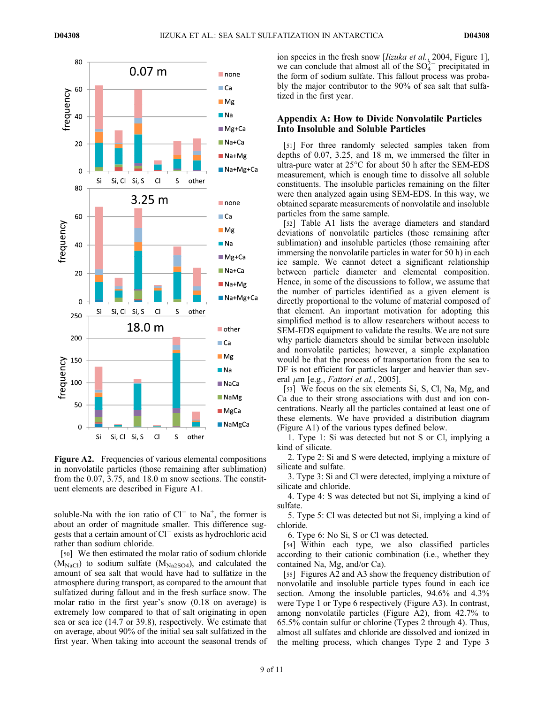

Figure A2. Frequencies of various elemental compositions in nonvolatile particles (those remaining after sublimation) from the 0.07, 3.75, and 18.0 m snow sections. The constituent elements are described in Figure A1.

soluble-Na with the ion ratio of  $Cl^{-}$  to Na<sup>+</sup>, the former is about an order of magnitude smaller. This difference suggests that a certain amount of  $Cl^-$  exists as hydrochloric acid rather than sodium chloride.

[50] We then estimated the molar ratio of sodium chloride  $(M_{NaCl})$  to sodium sulfate  $(M_{Na2SO4})$ , and calculated the amount of sea salt that would have had to sulfatize in the atmosphere during transport, as compared to the amount that sulfatized during fallout and in the fresh surface snow. The molar ratio in the first year's snow (0.18 on average) is extremely low compared to that of salt originating in open sea or sea ice (14.7 or 39.8), respectively. We estimate that on average, about 90% of the initial sea salt sulfatized in the first year. When taking into account the seasonal trends of ion species in the fresh snow [*lizuka et al.*, 2004, Figure 1], we can conclude that almost all of the  $SO_4^{2-}$  precipitated in the form of sodium sulfate. This fallout process was probably the major contributor to the 90% of sea salt that sulfatized in the first year.

# Appendix A: How to Divide Nonvolatile Particles Into Insoluble and Soluble Particles

[51] For three randomly selected samples taken from depths of 0.07, 3.25, and 18 m, we immersed the filter in ultra-pure water at 25°C for about 50 h after the SEM-EDS measurement, which is enough time to dissolve all soluble constituents. The insoluble particles remaining on the filter were then analyzed again using SEM-EDS. In this way, we obtained separate measurements of nonvolatile and insoluble particles from the same sample.

[52] Table A1 lists the average diameters and standard deviations of nonvolatile particles (those remaining after sublimation) and insoluble particles (those remaining after immersing the nonvolatile particles in water for 50 h) in each ice sample. We cannot detect a significant relationship between particle diameter and elemental composition. Hence, in some of the discussions to follow, we assume that the number of particles identified as a given element is directly proportional to the volume of material composed of that element. An important motivation for adopting this simplified method is to allow researchers without access to SEM-EDS equipment to validate the results. We are not sure why particle diameters should be similar between insoluble and nonvolatile particles; however, a simple explanation would be that the process of transportation from the sea to DF is not efficient for particles larger and heavier than several  $\mu$ m [e.g., *Fattori et al.*, 2005].

[53] We focus on the six elements Si, S, Cl, Na, Mg, and Ca due to their strong associations with dust and ion concentrations. Nearly all the particles contained at least one of these elements. We have provided a distribution diagram (Figure A1) of the various types defined below.

1. Type 1: Si was detected but not S or Cl, implying a kind of silicate.

2. Type 2: Si and S were detected, implying a mixture of silicate and sulfate.

3. Type 3: Si and Cl were detected, implying a mixture of silicate and chloride.

4. Type 4: S was detected but not Si, implying a kind of sulfate.

5. Type 5: Cl was detected but not Si, implying a kind of chloride.

6. Type 6: No Si, S or Cl was detected.

[54] Within each type, we also classified particles according to their cationic combination (i.e., whether they contained Na, Mg, and/or Ca).

[55] Figures A2 and A3 show the frequency distribution of nonvolatile and insoluble particle types found in each ice section. Among the insoluble particles, 94.6% and 4.3% were Type 1 or Type 6 respectively (Figure A3). In contrast, among nonvolatile particles (Figure A2), from 42.7% to 65.5% contain sulfur or chlorine (Types 2 through 4). Thus, almost all sulfates and chloride are dissolved and ionized in the melting process, which changes Type 2 and Type 3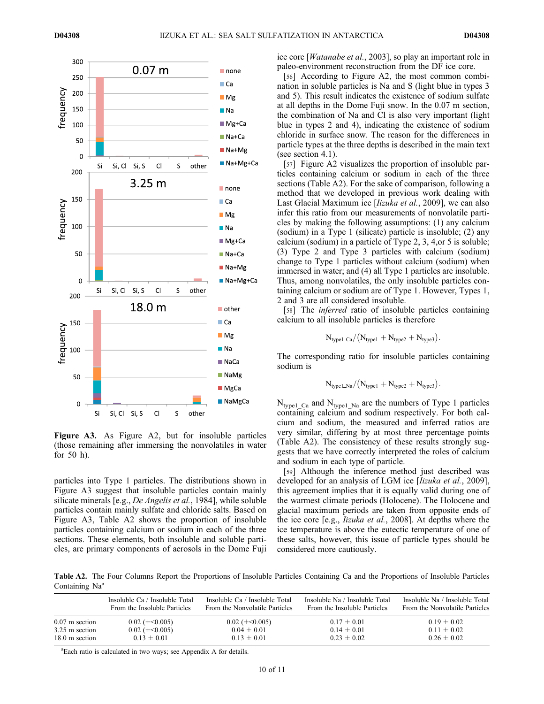

Figure A3. As Figure A2, but for insoluble particles (those remaining after immersing the nonvolatiles in water for 50 h).

particles into Type 1 particles. The distributions shown in Figure A3 suggest that insoluble particles contain mainly silicate minerals [e.g., De Angelis et al., 1984], while soluble particles contain mainly sulfate and chloride salts. Based on Figure A3, Table A2 shows the proportion of insoluble particles containing calcium or sodium in each of the three sections. These elements, both insoluble and soluble particles, are primary components of aerosols in the Dome Fuji ice core [Watanabe et al., 2003], so play an important role in paleo-environment reconstruction from the DF ice core.

[56] According to Figure A2, the most common combination in soluble particles is Na and S (light blue in types 3 and 5). This result indicates the existence of sodium sulfate at all depths in the Dome Fuji snow. In the 0.07 m section, the combination of Na and Cl is also very important (light blue in types 2 and 4), indicating the existence of sodium chloride in surface snow. The reason for the differences in particle types at the three depths is described in the main text (see section 4.1).

[57] Figure A2 visualizes the proportion of insoluble particles containing calcium or sodium in each of the three sections (Table A2). For the sake of comparison, following a method that we developed in previous work dealing with Last Glacial Maximum ice [*lizuka et al.*, 2009], we can also infer this ratio from our measurements of nonvolatile particles by making the following assumptions: (1) any calcium (sodium) in a Type 1 (silicate) particle is insoluble; (2) any calcium (sodium) in a particle of Type 2, 3, 4,or 5 is soluble; (3) Type 2 and Type 3 particles with calcium (sodium) change to Type 1 particles without calcium (sodium) when immersed in water; and (4) all Type 1 particles are insoluble. Thus, among nonvolatiles, the only insoluble particles containing calcium or sodium are of Type 1. However, Types 1, 2 and 3 are all considered insoluble.

[58] The *inferred* ratio of insoluble particles containing calcium to all insoluble particles is therefore

$$
N_{\text{type1}\_Ca}/\big(N_{\text{type1}}+N_{\text{type2}}+N_{\text{type3}}\big).
$$

The corresponding ratio for insoluble particles containing sodium is

$$
N_{\text{type1\_Na}}/(N_{\text{type1}}+N_{\text{type2}}+N_{\text{type3}}).
$$

 $N_{\text{typel}\_{\text{Ca}}}$  and  $N_{\text{typel}\_{\text{Na}}}$  are the numbers of Type 1 particles containing calcium and sodium respectively. For both calcium and sodium, the measured and inferred ratios are very similar, differing by at most three percentage points (Table A2). The consistency of these results strongly suggests that we have correctly interpreted the roles of calcium and sodium in each type of particle.

[59] Although the inference method just described was developed for an analysis of LGM ice *Ilizuka et al.*, 2009]. this agreement implies that it is equally valid during one of the warmest climate periods (Holocene). The Holocene and glacial maximum periods are taken from opposite ends of the ice core [e.g., Iizuka et al., 2008]. At depths where the ice temperature is above the eutectic temperature of one of these salts, however, this issue of particle types should be considered more cautiously.

Table A2. The Four Columns Report the Proportions of Insoluble Particles Containing Ca and the Proportions of Insoluble Particles Containing Na<sup>a</sup>

|                  | Insoluble Ca / Insoluble Total | Insoluble Ca / Insoluble Total | Insoluble Na / Insoluble Total | Insoluble Na / Insoluble Total |
|------------------|--------------------------------|--------------------------------|--------------------------------|--------------------------------|
|                  | From the Insoluble Particles   | From the Nonvolatile Particles | From the Insoluble Particles   | From the Nonvolatile Particles |
| $0.07$ m section | $0.02 \ (\pm 0.005)$           | $0.02$ ( $\pm$ <0.005)         | $0.17 \pm 0.01$                | $0.19 \pm 0.02$                |
| 3.25 m section   | $0.02$ ( $\pm$ <0.005)         | $0.04 \pm 0.01$                | $0.14 \pm 0.01$                | $0.11 \pm 0.02$                |
| 18.0 m section   | $0.13 + 0.01$                  | $0.13 + 0.01$                  | $0.23 + 0.02$                  | $0.26 + 0.02$                  |

<sup>a</sup>Each ratio is calculated in two ways; see Appendix A for details.